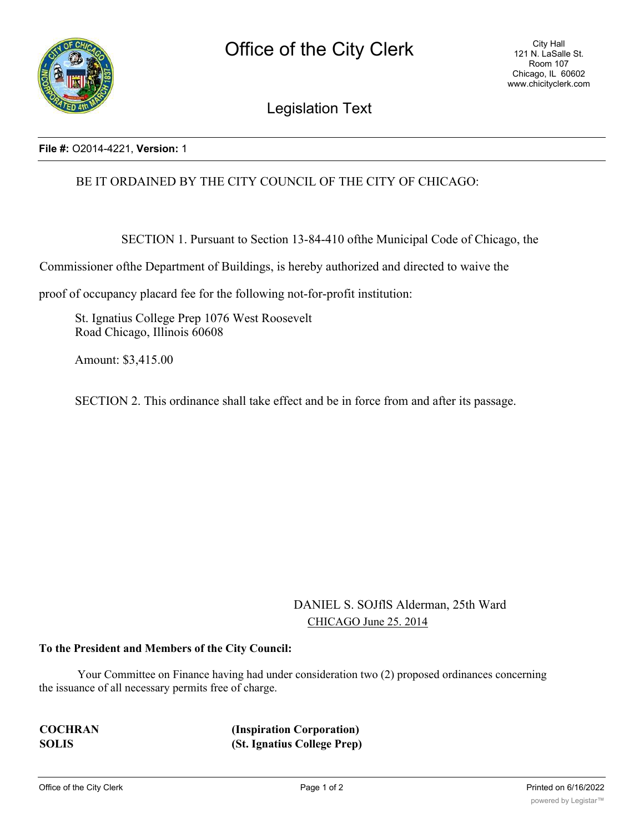

## Legislation Text

## **File #:** O2014-4221, **Version:** 1

## BE IT ORDAINED BY THE CITY COUNCIL OF THE CITY OF CHICAGO:

SECTION 1. Pursuant to Section 13-84-410 ofthe Municipal Code of Chicago, the

Commissioner ofthe Department of Buildings, is hereby authorized and directed to waive the

proof of occupancy placard fee for the following not-for-profit institution:

St. Ignatius College Prep 1076 West Roosevelt Road Chicago, Illinois 60608

Amount: \$3,415.00

SECTION 2. This ordinance shall take effect and be in force from and after its passage.

DANIEL S. SOJflS Alderman, 25th Ward CHICAGO June 25. 2014

## **To the President and Members of the City Council:**

Your Committee on Finance having had under consideration two (2) proposed ordinances concerning the issuance of all necessary permits free of charge.

**COCHRAN (Inspiration Corporation) SOLIS (St. Ignatius College Prep)**